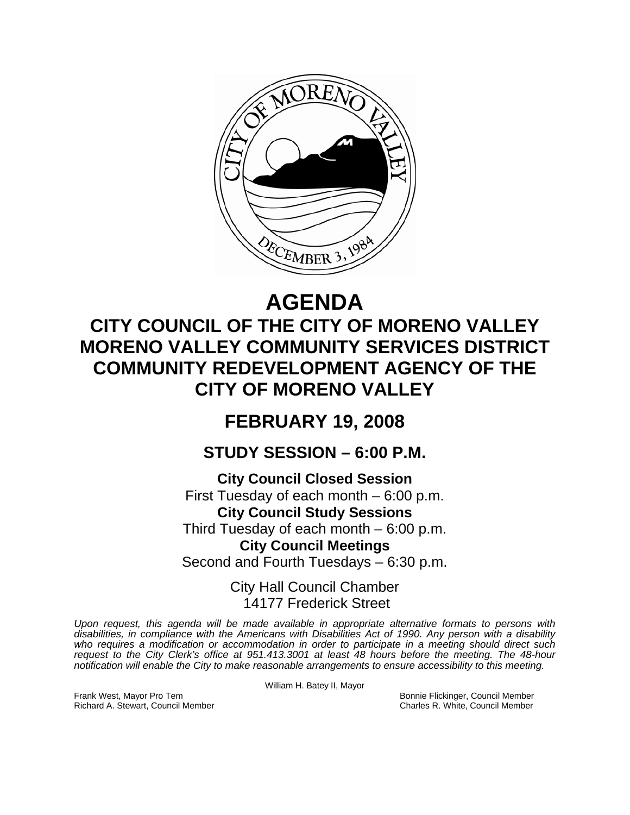

# **AGENDA**

# **CITY COUNCIL OF THE CITY OF MORENO VALLEY MORENO VALLEY COMMUNITY SERVICES DISTRICT COMMUNITY REDEVELOPMENT AGENCY OF THE CITY OF MORENO VALLEY**

## **FEBRUARY 19, 2008**

### **STUDY SESSION – 6:00 P.M.**

**City Council Closed Session**  First Tuesday of each month – 6:00 p.m. **City Council Study Sessions**  Third Tuesday of each month – 6:00 p.m. **City Council Meetings** 

Second and Fourth Tuesdays – 6:30 p.m.

City Hall Council Chamber 14177 Frederick Street

*Upon request, this agenda will be made available in appropriate alternative formats to persons with disabilities, in compliance with the Americans with Disabilities Act of 1990. Any person with a disability who requires a modification or accommodation in order to participate in a meeting should direct such request to the City Clerk's office at 951.413.3001 at least 48 hours before the meeting. The 48-hour notification will enable the City to make reasonable arrangements to ensure accessibility to this meeting.* 

Frank West, Mayor Pro Tem Bonnie Flickinger, Council Member Richard A. Stewart, Council Member Charles R. White, Council Member

William H. Batey II, Mayor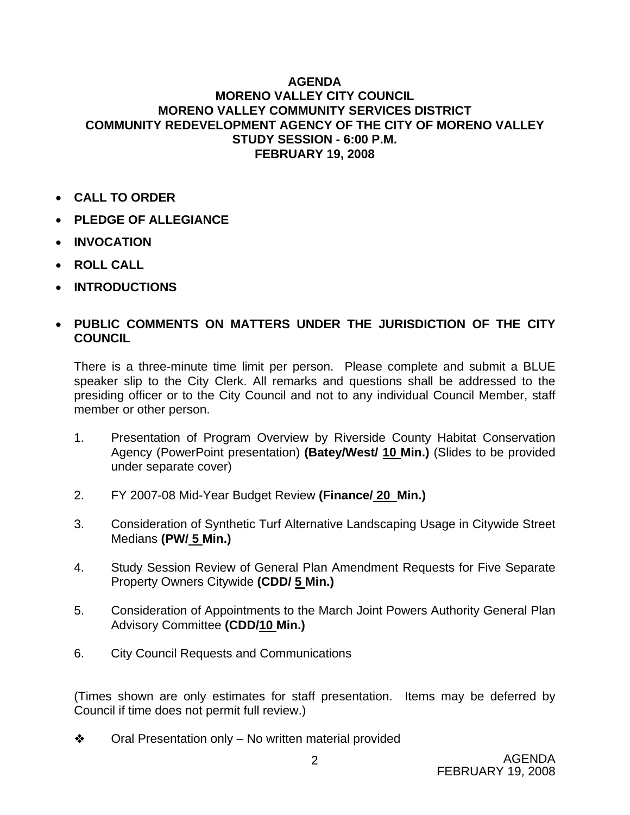#### **AGENDA MORENO VALLEY CITY COUNCIL MORENO VALLEY COMMUNITY SERVICES DISTRICT COMMUNITY REDEVELOPMENT AGENCY OF THE CITY OF MORENO VALLEY STUDY SESSION - 6:00 P.M. FEBRUARY 19, 2008**

- **CALL TO ORDER**
- **PLEDGE OF ALLEGIANCE**
- **INVOCATION**
- **ROLL CALL**
- **INTRODUCTIONS**

### • **PUBLIC COMMENTS ON MATTERS UNDER THE JURISDICTION OF THE CITY COUNCIL**

There is a three-minute time limit per person. Please complete and submit a BLUE speaker slip to the City Clerk. All remarks and questions shall be addressed to the presiding officer or to the City Council and not to any individual Council Member, staff member or other person.

- 1. Presentation of Program Overview by Riverside County Habitat Conservation Agency (PowerPoint presentation) **(Batey/West/ 10 Min.)** (Slides to be provided under separate cover)
- 2. FY 2007-08 Mid-Year Budget Review **(Finance/ 20 Min.)**
- 3. Consideration of Synthetic Turf Alternative Landscaping Usage in Citywide Street Medians **(PW/ 5 Min.)**
- 4. Study Session Review of General Plan Amendment Requests for Five Separate Property Owners Citywide **(CDD/ 5 Min.)**
- 5. Consideration of Appointments to the March Joint Powers Authority General Plan Advisory Committee **(CDD/10 Min.)**
- 6. City Council Requests and Communications

(Times shown are only estimates for staff presentation. Items may be deferred by Council if time does not permit full review.)

 $\bullet$  Oral Presentation only – No written material provided